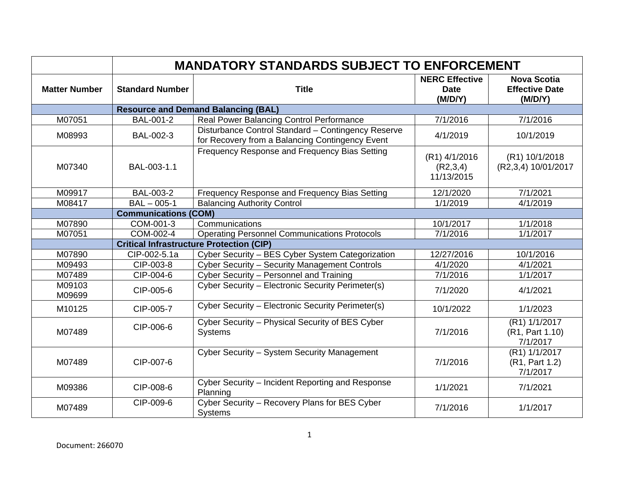|                      | <b>MANDATORY STANDARDS SUBJECT TO ENFORCEMENT</b> |                                                                                                       |                                                 |                                                        |  |
|----------------------|---------------------------------------------------|-------------------------------------------------------------------------------------------------------|-------------------------------------------------|--------------------------------------------------------|--|
| <b>Matter Number</b> | <b>Standard Number</b>                            | <b>Title</b>                                                                                          | <b>NERC Effective</b><br><b>Date</b><br>(M/D/Y) | <b>Nova Scotia</b><br><b>Effective Date</b><br>(M/D/Y) |  |
|                      |                                                   | <b>Resource and Demand Balancing (BAL)</b>                                                            |                                                 |                                                        |  |
| M07051               | BAL-001-2                                         | Real Power Balancing Control Performance                                                              | 7/1/2016                                        | 7/1/2016                                               |  |
| M08993               | BAL-002-3                                         | Disturbance Control Standard - Contingency Reserve<br>for Recovery from a Balancing Contingency Event | 4/1/2019                                        | 10/1/2019                                              |  |
| M07340               | BAL-003-1.1                                       | Frequency Response and Frequency Bias Setting                                                         | (R1) 4/1/2016<br>(R2,3,4)<br>11/13/2015         | (R1) 10/1/2018<br>(R2,3,4) 10/01/2017                  |  |
| M09917               | BAL-003-2                                         | Frequency Response and Frequency Bias Setting                                                         | 12/1/2020                                       | 7/1/2021                                               |  |
| M08417               | $BAL - 005-1$                                     | <b>Balancing Authority Control</b>                                                                    | 1/1/2019                                        | 4/1/2019                                               |  |
|                      | <b>Communications (COM)</b>                       |                                                                                                       |                                                 |                                                        |  |
| M07890               | COM-001-3                                         | Communications                                                                                        | 10/1/2017                                       | 1/1/2018                                               |  |
| M07051               | COM-002-4                                         | <b>Operating Personnel Communications Protocols</b>                                                   | 7/1/2016                                        | 1/1/2017                                               |  |
|                      | <b>Critical Infrastructure Protection (CIP)</b>   |                                                                                                       |                                                 |                                                        |  |
| M07890               | CIP-002-5.1a                                      | Cyber Security - BES Cyber System Categorization                                                      | 12/27/2016                                      | 10/1/2016                                              |  |
| M09493               | CIP-003-8                                         | Cyber Security - Security Management Controls                                                         | 4/1/2020                                        | 4/1/2021                                               |  |
| M07489               | CIP-004-6                                         | Cyber Security - Personnel and Training                                                               | 7/1/2016                                        | 1/1/2017                                               |  |
| M09103<br>M09699     | CIP-005-6                                         | Cyber Security - Electronic Security Perimeter(s)                                                     | 7/1/2020                                        | 4/1/2021                                               |  |
| M10125               | CIP-005-7                                         | Cyber Security - Electronic Security Perimeter(s)                                                     | 10/1/2022                                       | 1/1/2023                                               |  |
| M07489               | CIP-006-6                                         | Cyber Security - Physical Security of BES Cyber<br><b>Systems</b>                                     | 7/1/2016                                        | (R1) 1/1/2017<br>(R1, Part 1.10)<br>7/1/2017           |  |
| M07489               | CIP-007-6                                         | Cyber Security - System Security Management                                                           | 7/1/2016                                        | (R1) 1/1/2017<br>(R1, Part 1.2)<br>7/1/2017            |  |
| M09386               | CIP-008-6                                         | Cyber Security - Incident Reporting and Response<br>Planning                                          | 1/1/2021                                        | 7/1/2021                                               |  |
| M07489               | CIP-009-6                                         | Cyber Security - Recovery Plans for BES Cyber<br><b>Systems</b>                                       | 7/1/2016                                        | 1/1/2017                                               |  |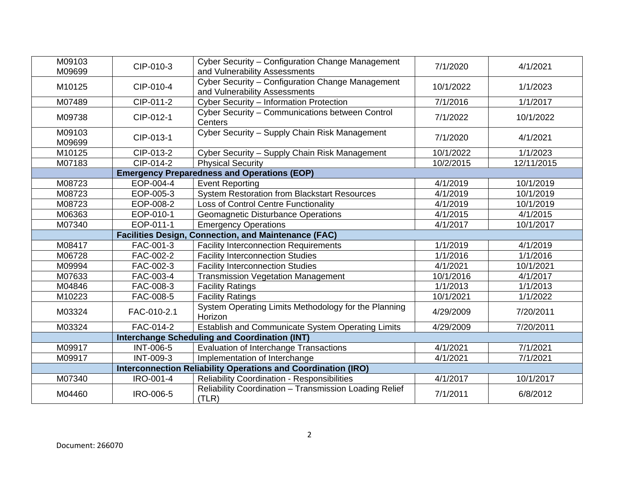| M09103<br>M09699                                            | CIP-010-3                                          | Cyber Security - Configuration Change Management<br>and Vulnerability Assessments                            | 7/1/2020  | 4/1/2021   |  |
|-------------------------------------------------------------|----------------------------------------------------|--------------------------------------------------------------------------------------------------------------|-----------|------------|--|
| M10125                                                      | CIP-010-4                                          | Cyber Security - Configuration Change Management<br>and Vulnerability Assessments                            | 10/1/2022 | 1/1/2023   |  |
| M07489                                                      | CIP-011-2                                          | Cyber Security - Information Protection                                                                      | 7/1/2016  | 1/1/2017   |  |
| M09738                                                      | CIP-012-1                                          | Cyber Security - Communications between Control<br>Centers                                                   | 7/1/2022  | 10/1/2022  |  |
| M09103<br>M09699                                            | CIP-013-1                                          | Cyber Security - Supply Chain Risk Management                                                                | 7/1/2020  | 4/1/2021   |  |
| M10125                                                      | CIP-013-2                                          | Cyber Security - Supply Chain Risk Management                                                                | 10/1/2022 | 1/1/2023   |  |
| M07183                                                      | CIP-014-2                                          | <b>Physical Security</b>                                                                                     | 10/2/2015 | 12/11/2015 |  |
|                                                             | <b>Emergency Preparedness and Operations (EOP)</b> |                                                                                                              |           |            |  |
| M08723                                                      | EOP-004-4                                          | <b>Event Reporting</b>                                                                                       | 4/1/2019  | 10/1/2019  |  |
| M08723                                                      | EOP-005-3                                          | <b>System Restoration from Blackstart Resources</b>                                                          | 4/1/2019  | 10/1/2019  |  |
| M08723                                                      | EOP-008-2                                          | Loss of Control Centre Functionality                                                                         | 4/1/2019  | 10/1/2019  |  |
| M06363                                                      | EOP-010-1                                          | Geomagnetic Disturbance Operations                                                                           | 4/1/2015  | 4/1/2015   |  |
| M07340                                                      | EOP-011-1                                          | <b>Emergency Operations</b>                                                                                  | 4/1/2017  | 10/1/2017  |  |
| <b>Facilities Design, Connection, and Maintenance (FAC)</b> |                                                    |                                                                                                              |           |            |  |
|                                                             |                                                    |                                                                                                              |           |            |  |
| M08417                                                      | FAC-001-3                                          | <b>Facility Interconnection Requirements</b>                                                                 | 1/1/2019  | 4/1/2019   |  |
| M06728                                                      | FAC-002-2                                          | <b>Facility Interconnection Studies</b>                                                                      | 1/1/2016  | 1/1/2016   |  |
| M09994                                                      | FAC-002-3                                          | <b>Facility Interconnection Studies</b>                                                                      | 4/1/2021  | 10/1/2021  |  |
| M07633                                                      | FAC-003-4                                          | <b>Transmission Vegetation Management</b>                                                                    | 10/1/2016 | 4/1/2017   |  |
| M04846                                                      | FAC-008-3                                          | <b>Facility Ratings</b>                                                                                      | 1/1/2013  | 1/1/2013   |  |
| M10223                                                      | FAC-008-5                                          | <b>Facility Ratings</b>                                                                                      | 10/1/2021 | 1/1/2022   |  |
| M03324                                                      | FAC-010-2.1                                        | System Operating Limits Methodology for the Planning<br>Horizon                                              | 4/29/2009 | 7/20/2011  |  |
| M03324                                                      | FAC-014-2                                          | Establish and Communicate System Operating Limits                                                            | 4/29/2009 | 7/20/2011  |  |
|                                                             |                                                    | <b>Interchange Scheduling and Coordination (INT)</b>                                                         |           |            |  |
| M09917                                                      | <b>INT-006-5</b>                                   | Evaluation of Interchange Transactions                                                                       | 4/1/2021  | 7/1/2021   |  |
| M09917                                                      | <b>INT-009-3</b>                                   | Implementation of Interchange                                                                                | 4/1/2021  | 7/1/2021   |  |
|                                                             |                                                    | <b>Interconnection Reliability Operations and Coordination (IRO)</b>                                         |           |            |  |
| M07340                                                      | IRO-001-4                                          | <b>Reliability Coordination - Responsibilities</b><br>Reliability Coordination - Transmission Loading Relief | 4/1/2017  | 10/1/2017  |  |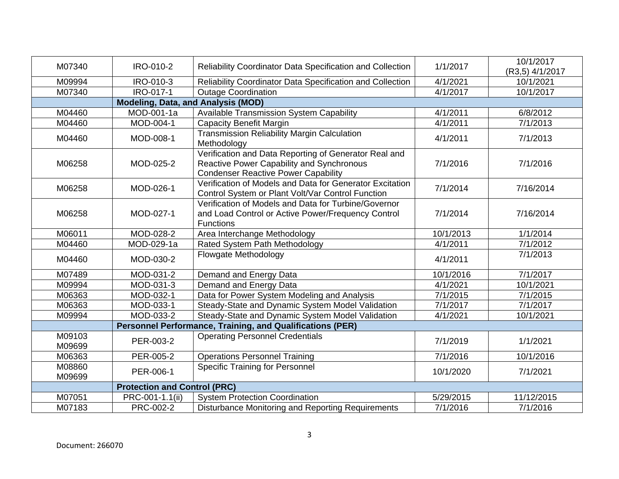| M07340                                                    | IRO-010-2                                 | Reliability Coordinator Data Specification and Collection                                                                                        | 1/1/2017  | 10/1/2017       |  |
|-----------------------------------------------------------|-------------------------------------------|--------------------------------------------------------------------------------------------------------------------------------------------------|-----------|-----------------|--|
|                                                           |                                           |                                                                                                                                                  |           | (R3,5) 4/1/2017 |  |
| M09994                                                    | IRO-010-3                                 | Reliability Coordinator Data Specification and Collection                                                                                        | 4/1/2021  | 10/1/2021       |  |
| M07340                                                    | IRO-017-1                                 | <b>Outage Coordination</b>                                                                                                                       | 4/1/2017  | 10/1/2017       |  |
|                                                           | <b>Modeling, Data, and Analysis (MOD)</b> |                                                                                                                                                  |           |                 |  |
| M04460                                                    | MOD-001-1a                                | <b>Available Transmission System Capability</b>                                                                                                  | 4/1/2011  | 6/8/2012        |  |
| M04460                                                    | MOD-004-1                                 | <b>Capacity Benefit Margin</b>                                                                                                                   | 4/1/2011  | 7/1/2013        |  |
| M04460                                                    | MOD-008-1                                 | <b>Transmission Reliability Margin Calculation</b><br>Methodology                                                                                | 4/1/2011  | 7/1/2013        |  |
| M06258                                                    | MOD-025-2                                 | Verification and Data Reporting of Generator Real and<br>Reactive Power Capability and Synchronous<br><b>Condenser Reactive Power Capability</b> | 7/1/2016  | 7/1/2016        |  |
| M06258                                                    | MOD-026-1                                 | Verification of Models and Data for Generator Excitation<br>Control System or Plant Volt/Var Control Function                                    | 7/1/2014  | 7/16/2014       |  |
| M06258                                                    | MOD-027-1                                 | Verification of Models and Data for Turbine/Governor<br>and Load Control or Active Power/Frequency Control<br><b>Functions</b>                   | 7/1/2014  | 7/16/2014       |  |
| M06011                                                    | MOD-028-2                                 | Area Interchange Methodology                                                                                                                     | 10/1/2013 | 1/1/2014        |  |
| M04460                                                    | MOD-029-1a                                | Rated System Path Methodology                                                                                                                    | 4/1/2011  | 7/1/2012        |  |
| M04460                                                    | MOD-030-2                                 | Flowgate Methodology                                                                                                                             | 4/1/2011  | 7/1/2013        |  |
| M07489                                                    | MOD-031-2                                 | Demand and Energy Data                                                                                                                           | 10/1/2016 | 7/1/2017        |  |
| M09994                                                    | MOD-031-3                                 | Demand and Energy Data                                                                                                                           | 4/1/2021  | 10/1/2021       |  |
| M06363                                                    | MOD-032-1                                 | Data for Power System Modeling and Analysis                                                                                                      | 7/1/2015  | 7/1/2015        |  |
| M06363                                                    | MOD-033-1                                 | Steady-State and Dynamic System Model Validation                                                                                                 | 7/1/2017  | 7/1/2017        |  |
| M09994                                                    | MOD-033-2                                 | Steady-State and Dynamic System Model Validation                                                                                                 | 4/1/2021  | 10/1/2021       |  |
| Personnel Performance, Training, and Qualifications (PER) |                                           |                                                                                                                                                  |           |                 |  |
| M09103<br>M09699                                          | PER-003-2                                 | <b>Operating Personnel Credentials</b>                                                                                                           | 7/1/2019  | 1/1/2021        |  |
| M06363                                                    | PER-005-2                                 | <b>Operations Personnel Training</b>                                                                                                             | 7/1/2016  | 10/1/2016       |  |
| M08860<br>M09699                                          | PER-006-1                                 | <b>Specific Training for Personnel</b>                                                                                                           | 10/1/2020 | 7/1/2021        |  |
|                                                           | <b>Protection and Control (PRC)</b>       |                                                                                                                                                  |           |                 |  |
| M07051                                                    | PRC-001-1.1(ii)                           | <b>System Protection Coordination</b>                                                                                                            | 5/29/2015 | 11/12/2015      |  |
| M07183                                                    | PRC-002-2                                 | Disturbance Monitoring and Reporting Requirements                                                                                                | 7/1/2016  | 7/1/2016        |  |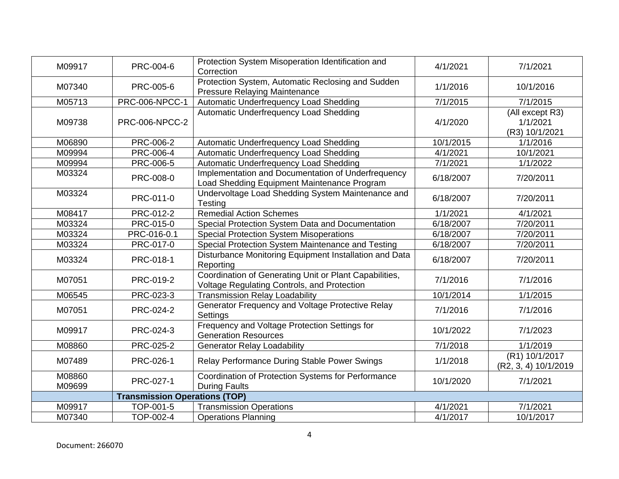| M09917           | PRC-004-6                            | Protection System Misoperation Identification and<br>Correction                                              | 4/1/2021  | 7/1/2021                                      |
|------------------|--------------------------------------|--------------------------------------------------------------------------------------------------------------|-----------|-----------------------------------------------|
| M07340           | PRC-005-6                            | Protection System, Automatic Reclosing and Sudden<br><b>Pressure Relaying Maintenance</b>                    | 1/1/2016  | 10/1/2016                                     |
| M05713           | <b>PRC-006-NPCC-1</b>                | <b>Automatic Underfrequency Load Shedding</b>                                                                | 7/1/2015  | 7/1/2015                                      |
| M09738           | <b>PRC-006-NPCC-2</b>                | <b>Automatic Underfrequency Load Shedding</b>                                                                | 4/1/2020  | (All except R3)<br>1/1/2021<br>(R3) 10/1/2021 |
| M06890           | PRC-006-2                            | Automatic Underfrequency Load Shedding                                                                       | 10/1/2015 | 1/1/2016                                      |
| M09994           | PRC-006-4                            | Automatic Underfrequency Load Shedding                                                                       | 4/1/2021  | 10/1/2021                                     |
| M09994           | PRC-006-5                            | Automatic Underfrequency Load Shedding                                                                       | 7/1/2021  | 1/1/2022                                      |
| M03324           | PRC-008-0                            | Implementation and Documentation of Underfrequency<br>Load Shedding Equipment Maintenance Program            | 6/18/2007 | 7/20/2011                                     |
| M03324           | PRC-011-0                            | Undervoltage Load Shedding System Maintenance and<br>Testing                                                 | 6/18/2007 | 7/20/2011                                     |
| M08417           | PRC-012-2                            | <b>Remedial Action Schemes</b>                                                                               | 1/1/2021  | 4/1/2021                                      |
| M03324           | PRC-015-0                            | Special Protection System Data and Documentation                                                             | 6/18/2007 | 7/20/2011                                     |
| M03324           | PRC-016-0.1                          | <b>Special Protection System Misoperations</b>                                                               | 6/18/2007 | 7/20/2011                                     |
| M03324           | PRC-017-0                            | Special Protection System Maintenance and Testing                                                            | 6/18/2007 | 7/20/2011                                     |
| M03324           | PRC-018-1                            | Disturbance Monitoring Equipment Installation and Data<br>Reporting                                          | 6/18/2007 | 7/20/2011                                     |
| M07051           | PRC-019-2                            | Coordination of Generating Unit or Plant Capabilities,<br><b>Voltage Regulating Controls, and Protection</b> | 7/1/2016  | 7/1/2016                                      |
| M06545           | PRC-023-3                            | <b>Transmission Relay Loadability</b>                                                                        | 10/1/2014 | 1/1/2015                                      |
| M07051           | PRC-024-2                            | Generator Frequency and Voltage Protective Relay<br>Settings                                                 | 7/1/2016  | 7/1/2016                                      |
| M09917           | PRC-024-3                            | Frequency and Voltage Protection Settings for<br><b>Generation Resources</b>                                 | 10/1/2022 | 7/1/2023                                      |
| M08860           | PRC-025-2                            | <b>Generator Relay Loadability</b>                                                                           | 7/1/2018  | 1/1/2019                                      |
| M07489           | PRC-026-1                            | Relay Performance During Stable Power Swings                                                                 | 1/1/2018  | (R1) 10/1/2017<br>(R2, 3, 4) 10/1/2019        |
| M08860<br>M09699 | PRC-027-1                            | Coordination of Protection Systems for Performance<br><b>During Faults</b>                                   | 10/1/2020 | 7/1/2021                                      |
|                  | <b>Transmission Operations (TOP)</b> |                                                                                                              |           |                                               |
| M09917           | TOP-001-5                            | <b>Transmission Operations</b>                                                                               | 4/1/2021  | 7/1/2021                                      |
| M07340           | TOP-002-4                            | <b>Operations Planning</b>                                                                                   | 4/1/2017  | 10/1/2017                                     |